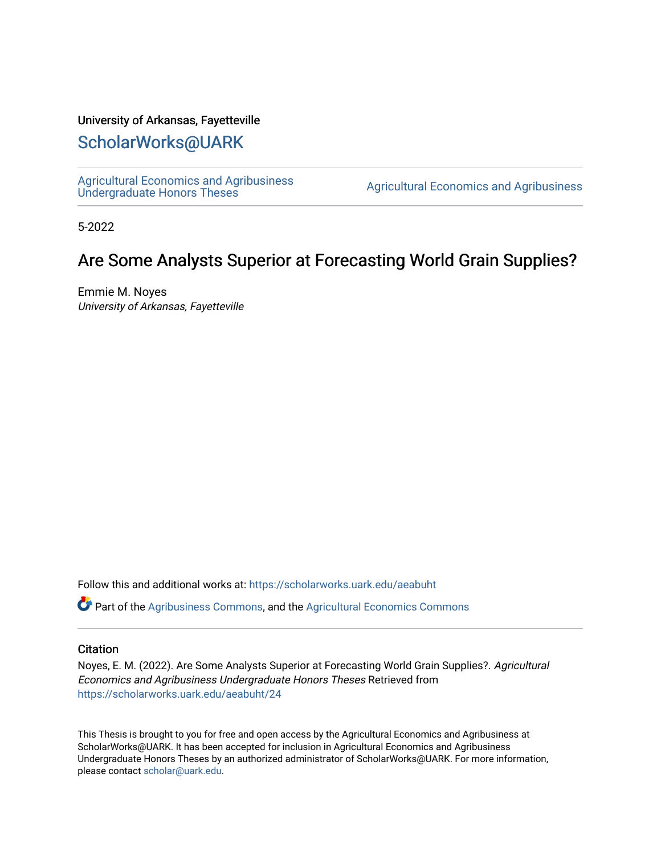# University of Arkansas, Fayetteville

# [ScholarWorks@UARK](https://scholarworks.uark.edu/)

[Agricultural Economics and Agribusiness](https://scholarworks.uark.edu/aeabuht)<br>Undergraduate Honors Theses

Agricultural Economics and Agribusiness

5-2022

# Are Some Analysts Superior at Forecasting World Grain Supplies?

Emmie M. Noyes University of Arkansas, Fayetteville

Follow this and additional works at: [https://scholarworks.uark.edu/aeabuht](https://scholarworks.uark.edu/aeabuht?utm_source=scholarworks.uark.edu%2Faeabuht%2F24&utm_medium=PDF&utm_campaign=PDFCoverPages)

Part of the [Agribusiness Commons,](http://network.bepress.com/hgg/discipline/1051?utm_source=scholarworks.uark.edu%2Faeabuht%2F24&utm_medium=PDF&utm_campaign=PDFCoverPages) and the [Agricultural Economics Commons](http://network.bepress.com/hgg/discipline/1225?utm_source=scholarworks.uark.edu%2Faeabuht%2F24&utm_medium=PDF&utm_campaign=PDFCoverPages) 

# **Citation**

Noyes, E. M. (2022). Are Some Analysts Superior at Forecasting World Grain Supplies?. Agricultural Economics and Agribusiness Undergraduate Honors Theses Retrieved from [https://scholarworks.uark.edu/aeabuht/24](https://scholarworks.uark.edu/aeabuht/24?utm_source=scholarworks.uark.edu%2Faeabuht%2F24&utm_medium=PDF&utm_campaign=PDFCoverPages) 

This Thesis is brought to you for free and open access by the Agricultural Economics and Agribusiness at ScholarWorks@UARK. It has been accepted for inclusion in Agricultural Economics and Agribusiness Undergraduate Honors Theses by an authorized administrator of ScholarWorks@UARK. For more information, please contact [scholar@uark.edu](mailto:scholar@uark.edu).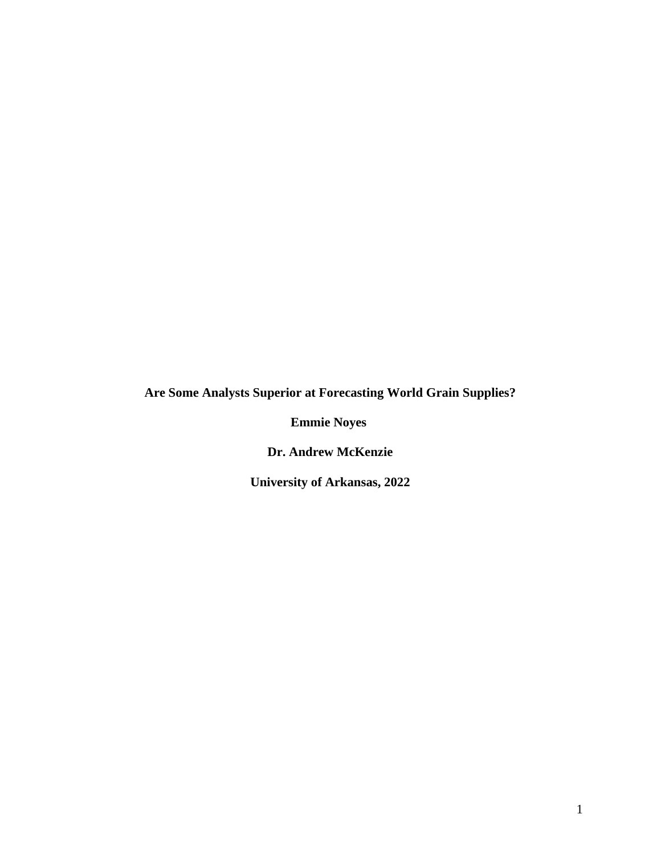**Are Some Analysts Superior at Forecasting World Grain Supplies?** 

**Emmie Noyes**

**Dr. Andrew McKenzie**

**University of Arkansas, 2022**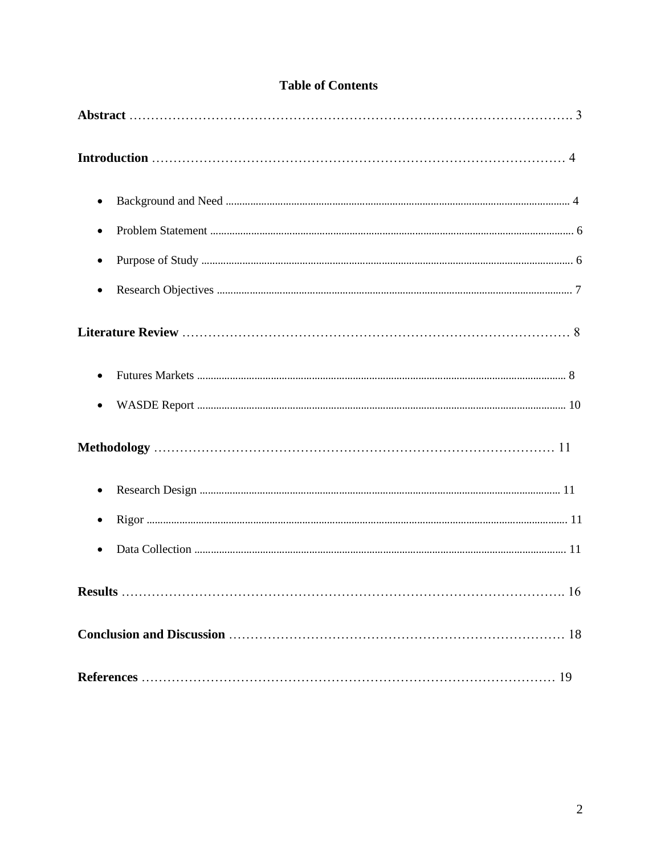| $\bullet$ |
|-----------|
| $\bullet$ |
| $\bullet$ |
|           |
|           |
|           |
|           |
| $\bullet$ |
|           |
|           |
|           |
|           |
|           |

# **Table of Contents**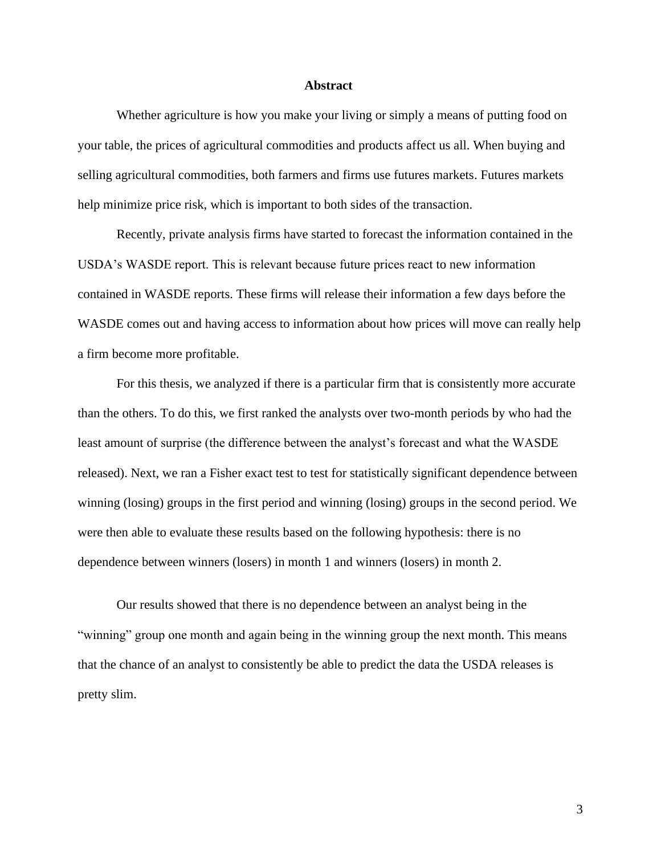#### **Abstract**

Whether agriculture is how you make your living or simply a means of putting food on your table, the prices of agricultural commodities and products affect us all. When buying and selling agricultural commodities, both farmers and firms use futures markets. Futures markets help minimize price risk, which is important to both sides of the transaction.

Recently, private analysis firms have started to forecast the information contained in the USDA's WASDE report. This is relevant because future prices react to new information contained in WASDE reports. These firms will release their information a few days before the WASDE comes out and having access to information about how prices will move can really help a firm become more profitable.

For this thesis, we analyzed if there is a particular firm that is consistently more accurate than the others. To do this, we first ranked the analysts over two-month periods by who had the least amount of surprise (the difference between the analyst's forecast and what the WASDE released). Next, we ran a Fisher exact test to test for statistically significant dependence between winning (losing) groups in the first period and winning (losing) groups in the second period. We were then able to evaluate these results based on the following hypothesis: there is no dependence between winners (losers) in month 1 and winners (losers) in month 2.

Our results showed that there is no dependence between an analyst being in the "winning" group one month and again being in the winning group the next month. This means that the chance of an analyst to consistently be able to predict the data the USDA releases is pretty slim.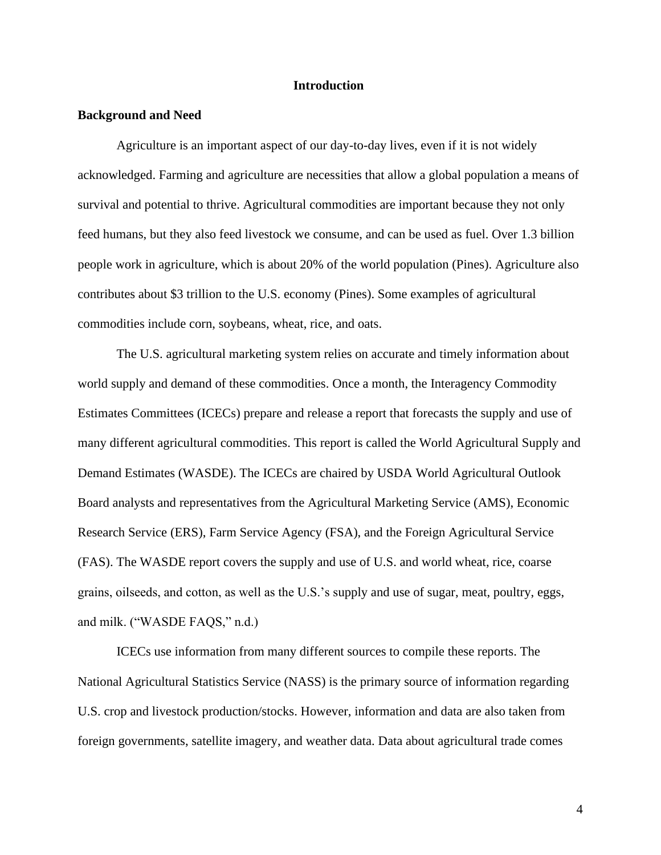#### **Introduction**

# **Background and Need**

Agriculture is an important aspect of our day-to-day lives, even if it is not widely acknowledged. Farming and agriculture are necessities that allow a global population a means of survival and potential to thrive. Agricultural commodities are important because they not only feed humans, but they also feed livestock we consume, and can be used as fuel. Over 1.3 billion people work in agriculture, which is about 20% of the world population (Pines). Agriculture also contributes about \$3 trillion to the U.S. economy (Pines). Some examples of agricultural commodities include corn, soybeans, wheat, rice, and oats.

The U.S. agricultural marketing system relies on accurate and timely information about world supply and demand of these commodities. Once a month, the Interagency Commodity Estimates Committees (ICECs) prepare and release a report that forecasts the supply and use of many different agricultural commodities. This report is called the World Agricultural Supply and Demand Estimates (WASDE). The ICECs are chaired by USDA World Agricultural Outlook Board analysts and representatives from the Agricultural Marketing Service (AMS), Economic Research Service (ERS), Farm Service Agency (FSA), and the Foreign Agricultural Service (FAS). The WASDE report covers the supply and use of U.S. and world wheat, rice, coarse grains, oilseeds, and cotton, as well as the U.S.'s supply and use of sugar, meat, poultry, eggs, and milk. ("WASDE FAQS," n.d.)

ICECs use information from many different sources to compile these reports. The National Agricultural Statistics Service (NASS) is the primary source of information regarding U.S. crop and livestock production/stocks. However, information and data are also taken from foreign governments, satellite imagery, and weather data. Data about agricultural trade comes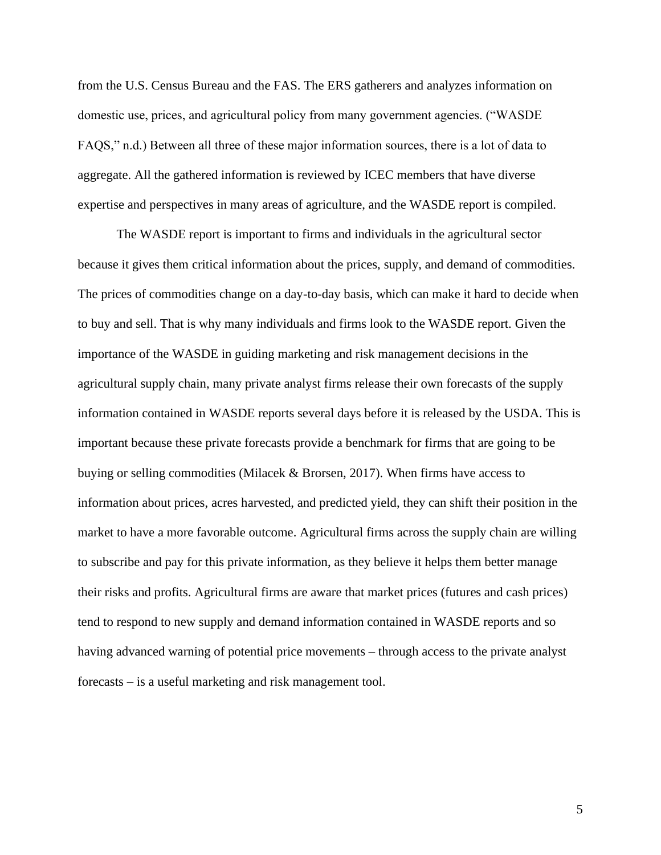from the U.S. Census Bureau and the FAS. The ERS gatherers and analyzes information on domestic use, prices, and agricultural policy from many government agencies. ("WASDE FAQS," n.d.) Between all three of these major information sources, there is a lot of data to aggregate. All the gathered information is reviewed by ICEC members that have diverse expertise and perspectives in many areas of agriculture, and the WASDE report is compiled.

The WASDE report is important to firms and individuals in the agricultural sector because it gives them critical information about the prices, supply, and demand of commodities. The prices of commodities change on a day-to-day basis, which can make it hard to decide when to buy and sell. That is why many individuals and firms look to the WASDE report. Given the importance of the WASDE in guiding marketing and risk management decisions in the agricultural supply chain, many private analyst firms release their own forecasts of the supply information contained in WASDE reports several days before it is released by the USDA. This is important because these private forecasts provide a benchmark for firms that are going to be buying or selling commodities (Milacek & Brorsen, 2017). When firms have access to information about prices, acres harvested, and predicted yield, they can shift their position in the market to have a more favorable outcome. Agricultural firms across the supply chain are willing to subscribe and pay for this private information, as they believe it helps them better manage their risks and profits. Agricultural firms are aware that market prices (futures and cash prices) tend to respond to new supply and demand information contained in WASDE reports and so having advanced warning of potential price movements – through access to the private analyst forecasts – is a useful marketing and risk management tool.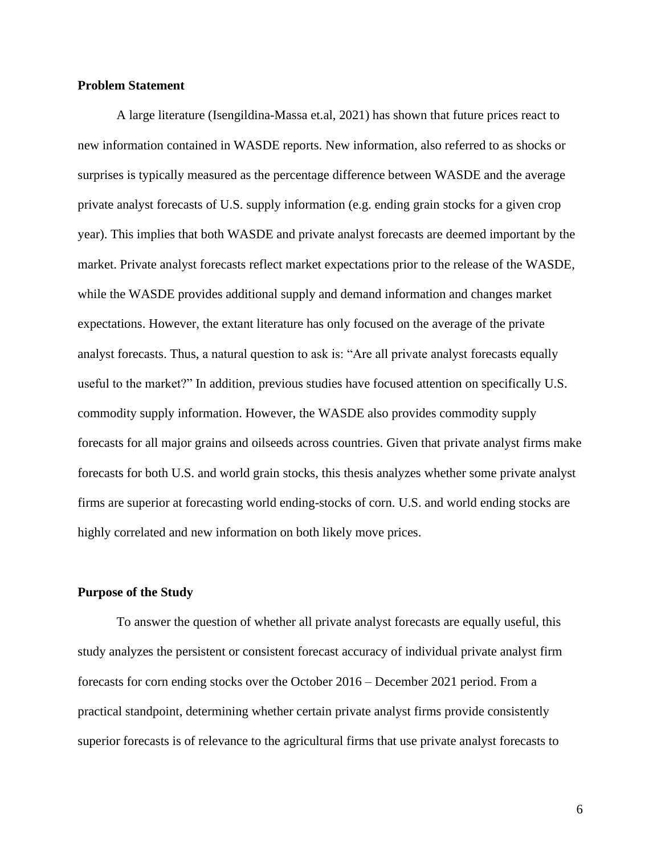# **Problem Statement**

A large literature (Isengildina-Massa et.al, 2021) has shown that future prices react to new information contained in WASDE reports. New information, also referred to as shocks or surprises is typically measured as the percentage difference between WASDE and the average private analyst forecasts of U.S. supply information (e.g. ending grain stocks for a given crop year). This implies that both WASDE and private analyst forecasts are deemed important by the market. Private analyst forecasts reflect market expectations prior to the release of the WASDE, while the WASDE provides additional supply and demand information and changes market expectations. However, the extant literature has only focused on the average of the private analyst forecasts. Thus, a natural question to ask is: "Are all private analyst forecasts equally useful to the market?" In addition, previous studies have focused attention on specifically U.S. commodity supply information. However, the WASDE also provides commodity supply forecasts for all major grains and oilseeds across countries. Given that private analyst firms make forecasts for both U.S. and world grain stocks, this thesis analyzes whether some private analyst firms are superior at forecasting world ending-stocks of corn. U.S. and world ending stocks are highly correlated and new information on both likely move prices.

#### **Purpose of the Study**

To answer the question of whether all private analyst forecasts are equally useful, this study analyzes the persistent or consistent forecast accuracy of individual private analyst firm forecasts for corn ending stocks over the October 2016 – December 2021 period. From a practical standpoint, determining whether certain private analyst firms provide consistently superior forecasts is of relevance to the agricultural firms that use private analyst forecasts to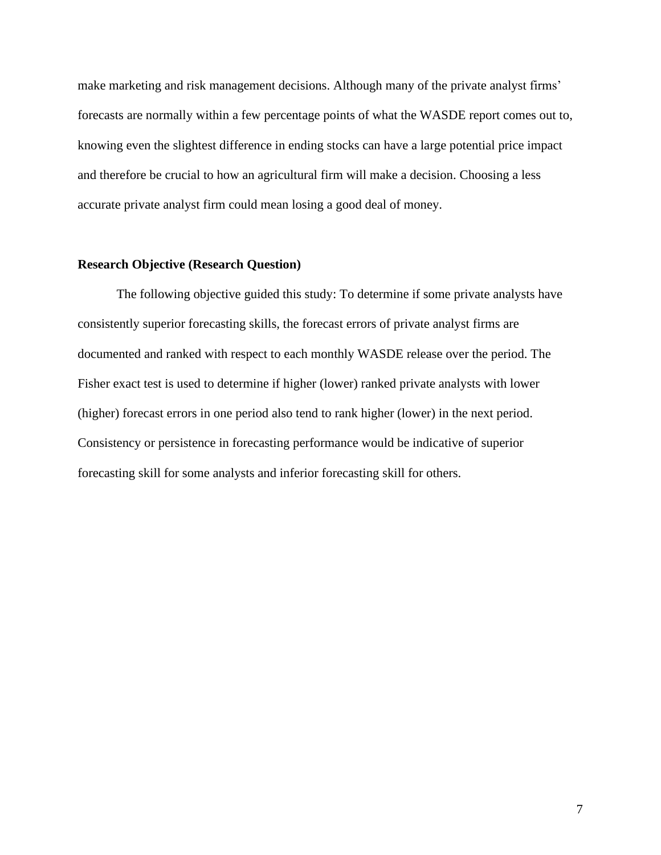make marketing and risk management decisions. Although many of the private analyst firms' forecasts are normally within a few percentage points of what the WASDE report comes out to, knowing even the slightest difference in ending stocks can have a large potential price impact and therefore be crucial to how an agricultural firm will make a decision. Choosing a less accurate private analyst firm could mean losing a good deal of money.

# **Research Objective (Research Question)**

The following objective guided this study: To determine if some private analysts have consistently superior forecasting skills, the forecast errors of private analyst firms are documented and ranked with respect to each monthly WASDE release over the period. The Fisher exact test is used to determine if higher (lower) ranked private analysts with lower (higher) forecast errors in one period also tend to rank higher (lower) in the next period. Consistency or persistence in forecasting performance would be indicative of superior forecasting skill for some analysts and inferior forecasting skill for others.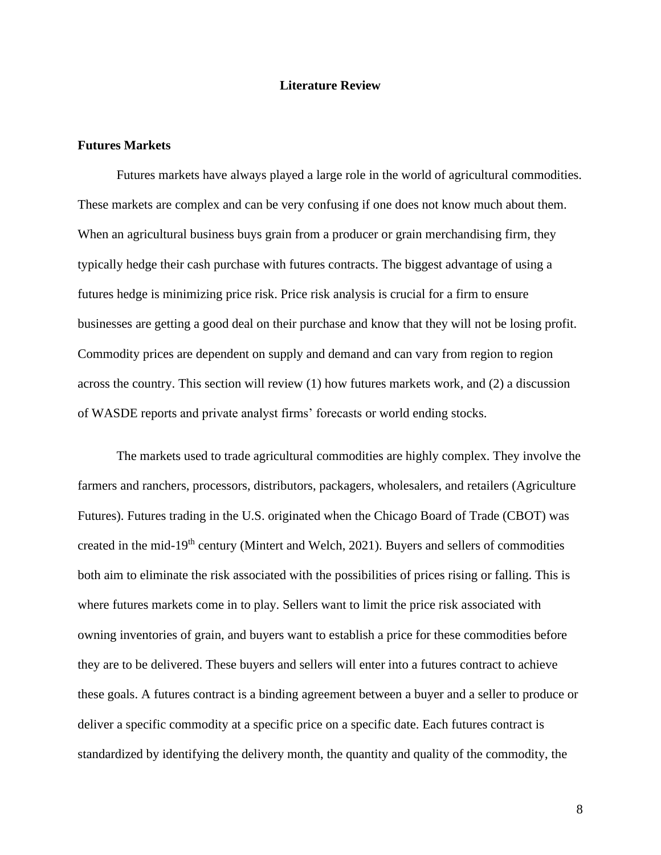# **Literature Review**

#### **Futures Markets**

Futures markets have always played a large role in the world of agricultural commodities. These markets are complex and can be very confusing if one does not know much about them. When an agricultural business buys grain from a producer or grain merchandising firm, they typically hedge their cash purchase with futures contracts. The biggest advantage of using a futures hedge is minimizing price risk. Price risk analysis is crucial for a firm to ensure businesses are getting a good deal on their purchase and know that they will not be losing profit. Commodity prices are dependent on supply and demand and can vary from region to region across the country. This section will review (1) how futures markets work, and (2) a discussion of WASDE reports and private analyst firms' forecasts or world ending stocks.

The markets used to trade agricultural commodities are highly complex. They involve the farmers and ranchers, processors, distributors, packagers, wholesalers, and retailers (Agriculture Futures). Futures trading in the U.S. originated when the Chicago Board of Trade (CBOT) was created in the mid-19th century (Mintert and Welch, 2021). Buyers and sellers of commodities both aim to eliminate the risk associated with the possibilities of prices rising or falling. This is where futures markets come in to play. Sellers want to limit the price risk associated with owning inventories of grain, and buyers want to establish a price for these commodities before they are to be delivered. These buyers and sellers will enter into a futures contract to achieve these goals. A futures contract is a binding agreement between a buyer and a seller to produce or deliver a specific commodity at a specific price on a specific date. Each futures contract is standardized by identifying the delivery month, the quantity and quality of the commodity, the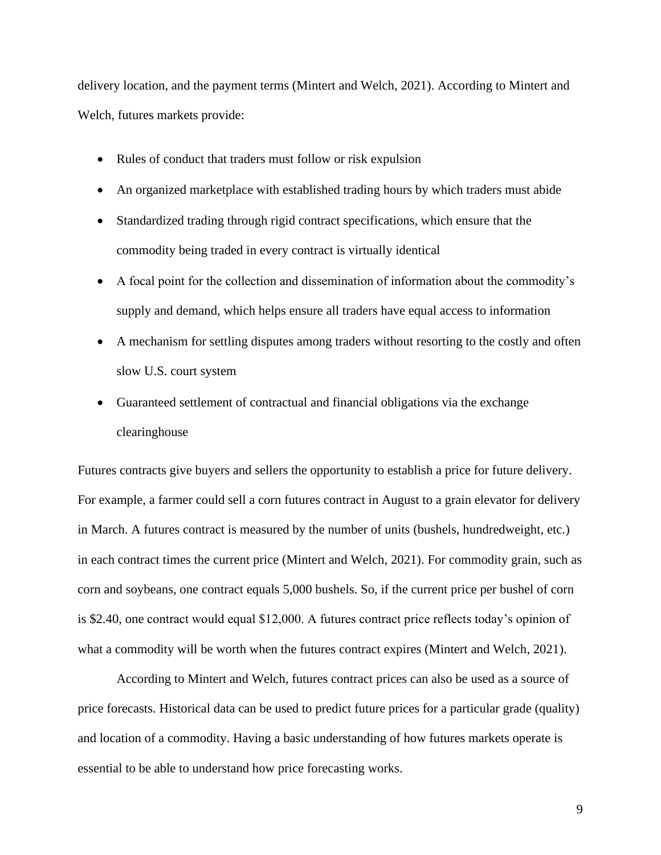delivery location, and the payment terms (Mintert and Welch, 2021). According to Mintert and Welch, futures markets provide:

- Rules of conduct that traders must follow or risk expulsion
- An organized marketplace with established trading hours by which traders must abide
- Standardized trading through rigid contract specifications, which ensure that the commodity being traded in every contract is virtually identical
- A focal point for the collection and dissemination of information about the commodity's supply and demand, which helps ensure all traders have equal access to information
- A mechanism for settling disputes among traders without resorting to the costly and often slow U.S. court system
- Guaranteed settlement of contractual and financial obligations via the exchange clearinghouse

Futures contracts give buyers and sellers the opportunity to establish a price for future delivery. For example, a farmer could sell a corn futures contract in August to a grain elevator for delivery in March. A futures contract is measured by the number of units (bushels, hundredweight, etc.) in each contract times the current price (Mintert and Welch, 2021). For commodity grain, such as corn and soybeans, one contract equals 5,000 bushels. So, if the current price per bushel of corn is \$2.40, one contract would equal \$12,000. A futures contract price reflects today's opinion of what a commodity will be worth when the futures contract expires (Mintert and Welch, 2021).

According to Mintert and Welch, futures contract prices can also be used as a source of price forecasts. Historical data can be used to predict future prices for a particular grade (quality) and location of a commodity. Having a basic understanding of how futures markets operate is essential to be able to understand how price forecasting works.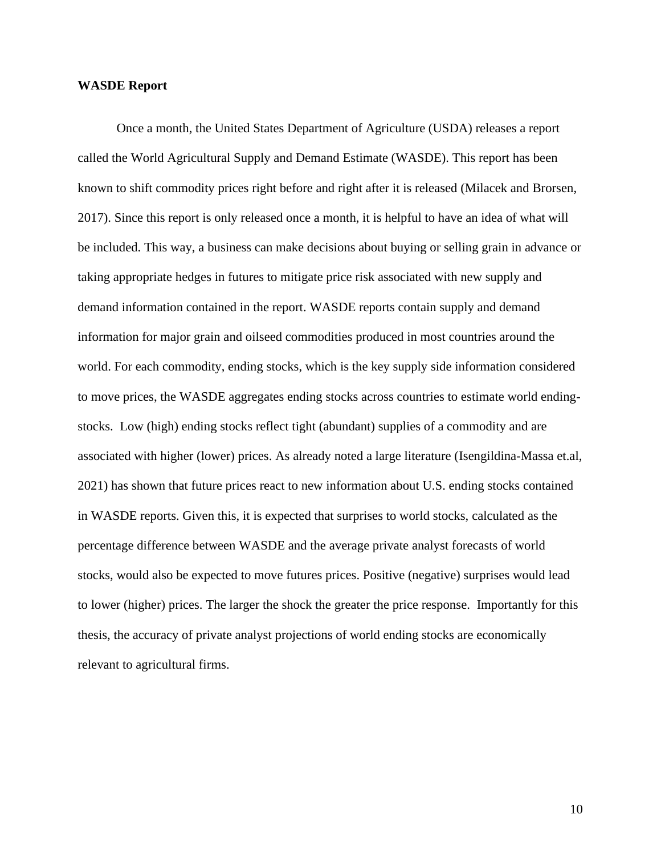#### **WASDE Report**

Once a month, the United States Department of Agriculture (USDA) releases a report called the World Agricultural Supply and Demand Estimate (WASDE). This report has been known to shift commodity prices right before and right after it is released (Milacek and Brorsen, 2017). Since this report is only released once a month, it is helpful to have an idea of what will be included. This way, a business can make decisions about buying or selling grain in advance or taking appropriate hedges in futures to mitigate price risk associated with new supply and demand information contained in the report. WASDE reports contain supply and demand information for major grain and oilseed commodities produced in most countries around the world. For each commodity, ending stocks, which is the key supply side information considered to move prices, the WASDE aggregates ending stocks across countries to estimate world endingstocks. Low (high) ending stocks reflect tight (abundant) supplies of a commodity and are associated with higher (lower) prices. As already noted a large literature (Isengildina-Massa et.al, 2021) has shown that future prices react to new information about U.S. ending stocks contained in WASDE reports. Given this, it is expected that surprises to world stocks, calculated as the percentage difference between WASDE and the average private analyst forecasts of world stocks, would also be expected to move futures prices. Positive (negative) surprises would lead to lower (higher) prices. The larger the shock the greater the price response. Importantly for this thesis, the accuracy of private analyst projections of world ending stocks are economically relevant to agricultural firms.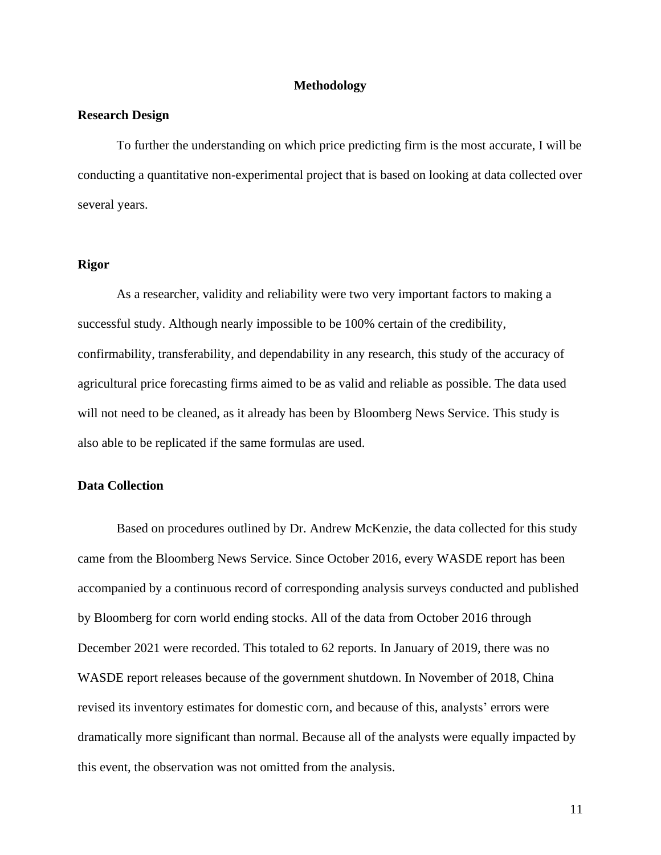#### **Methodology**

#### **Research Design**

To further the understanding on which price predicting firm is the most accurate, I will be conducting a quantitative non-experimental project that is based on looking at data collected over several years.

# **Rigor**

As a researcher, validity and reliability were two very important factors to making a successful study. Although nearly impossible to be 100% certain of the credibility, confirmability, transferability, and dependability in any research, this study of the accuracy of agricultural price forecasting firms aimed to be as valid and reliable as possible. The data used will not need to be cleaned, as it already has been by Bloomberg News Service. This study is also able to be replicated if the same formulas are used.

# **Data Collection**

Based on procedures outlined by Dr. Andrew McKenzie, the data collected for this study came from the Bloomberg News Service. Since October 2016, every WASDE report has been accompanied by a continuous record of corresponding analysis surveys conducted and published by Bloomberg for corn world ending stocks. All of the data from October 2016 through December 2021 were recorded. This totaled to 62 reports. In January of 2019, there was no WASDE report releases because of the government shutdown. In November of 2018, China revised its inventory estimates for domestic corn, and because of this, analysts' errors were dramatically more significant than normal. Because all of the analysts were equally impacted by this event, the observation was not omitted from the analysis.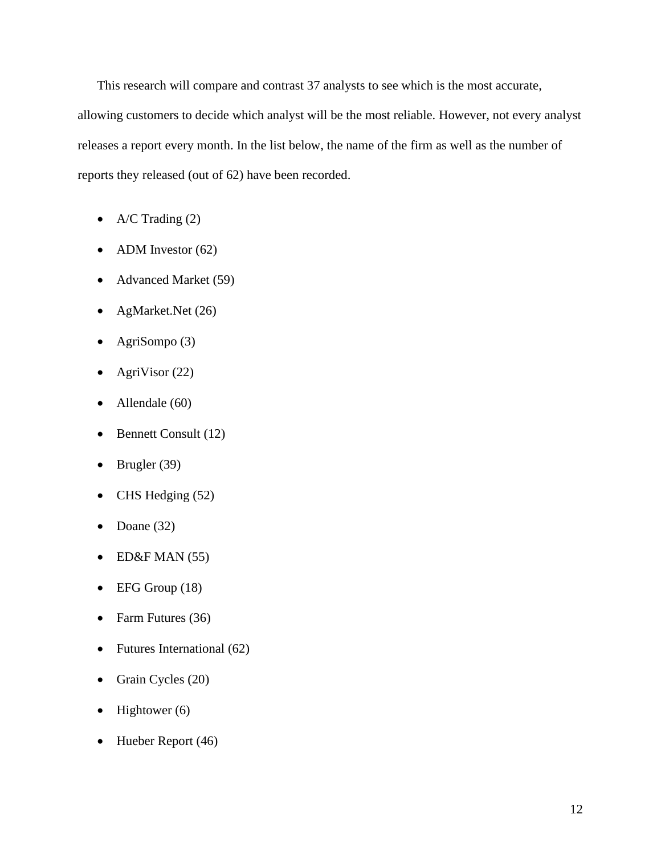This research will compare and contrast 37 analysts to see which is the most accurate, allowing customers to decide which analyst will be the most reliable. However, not every analyst releases a report every month. In the list below, the name of the firm as well as the number of reports they released (out of 62) have been recorded.

- A/C Trading  $(2)$
- ADM Investor  $(62)$
- Advanced Market (59)
- AgMarket.Net (26)
- AgriSompo  $(3)$
- AgriVisor  $(22)$
- Allendale (60)
- Bennett Consult (12)
- Brugler  $(39)$
- CHS Hedging (52)
- Doane  $(32)$
- $\bullet$  ED&F MAN (55)
- EFG Group (18)
- Farm Futures (36)
- Futures International (62)
- Grain Cycles (20)
- Hightower  $(6)$
- Hueber Report (46)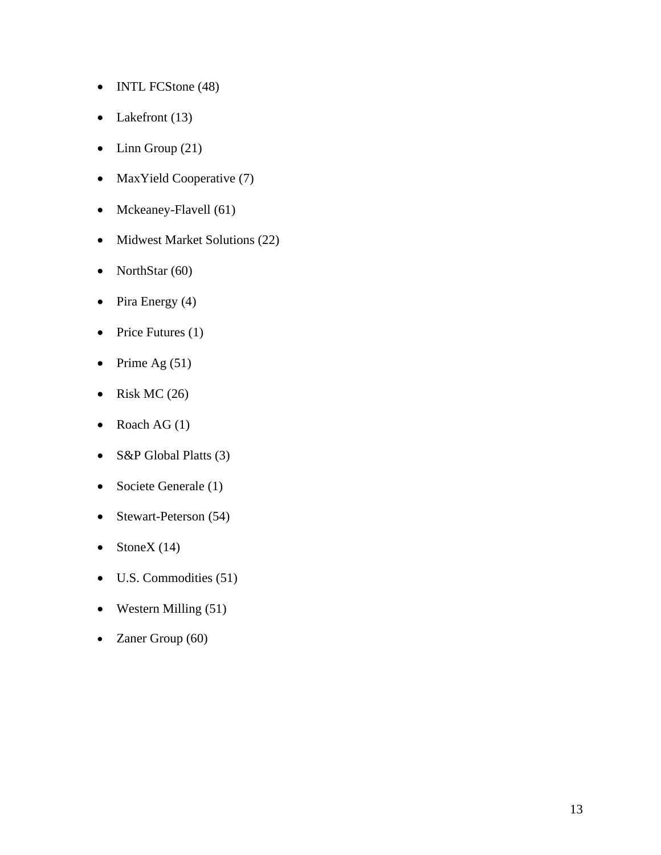- INTL FCStone (48)
- Lakefront (13)
- Linn Group  $(21)$
- MaxYield Cooperative (7)
- Mckeaney-Flavell (61)
- Midwest Market Solutions (22)
- NorthStar (60)
- Pira Energy  $(4)$
- Price Futures (1)
- Prime Ag  $(51)$
- Risk MC  $(26)$
- Roach AG  $(1)$
- S&P Global Platts (3)
- Societe Generale (1)
- Stewart-Peterson (54)
- StoneX  $(14)$
- U.S. Commodities (51)
- Western Milling  $(51)$
- Zaner Group (60)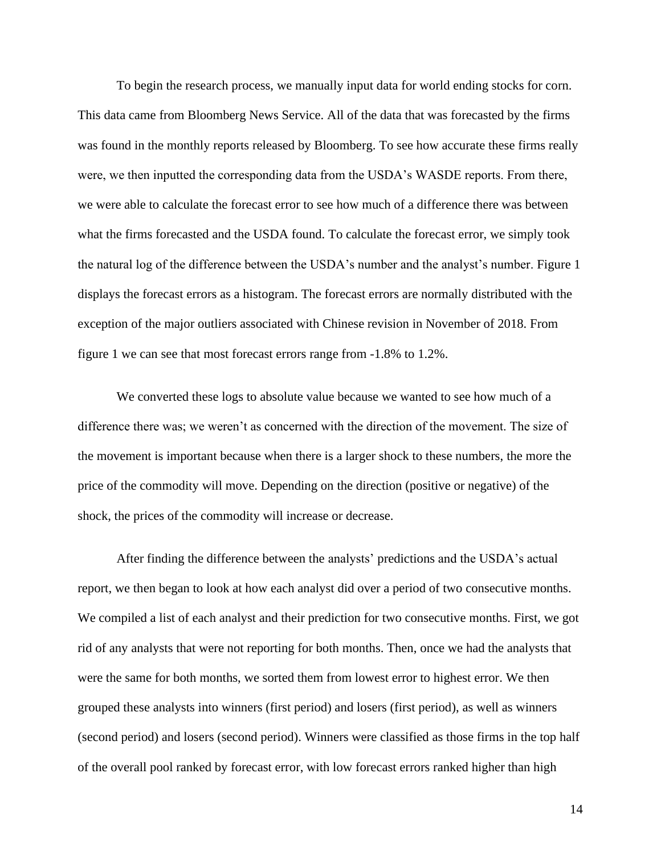To begin the research process, we manually input data for world ending stocks for corn. This data came from Bloomberg News Service. All of the data that was forecasted by the firms was found in the monthly reports released by Bloomberg. To see how accurate these firms really were, we then inputted the corresponding data from the USDA's WASDE reports. From there, we were able to calculate the forecast error to see how much of a difference there was between what the firms forecasted and the USDA found. To calculate the forecast error, we simply took the natural log of the difference between the USDA's number and the analyst's number. Figure 1 displays the forecast errors as a histogram. The forecast errors are normally distributed with the exception of the major outliers associated with Chinese revision in November of 2018. From figure 1 we can see that most forecast errors range from -1.8% to 1.2%.

We converted these logs to absolute value because we wanted to see how much of a difference there was; we weren't as concerned with the direction of the movement. The size of the movement is important because when there is a larger shock to these numbers, the more the price of the commodity will move. Depending on the direction (positive or negative) of the shock, the prices of the commodity will increase or decrease.

After finding the difference between the analysts' predictions and the USDA's actual report, we then began to look at how each analyst did over a period of two consecutive months. We compiled a list of each analyst and their prediction for two consecutive months. First, we got rid of any analysts that were not reporting for both months. Then, once we had the analysts that were the same for both months, we sorted them from lowest error to highest error. We then grouped these analysts into winners (first period) and losers (first period), as well as winners (second period) and losers (second period). Winners were classified as those firms in the top half of the overall pool ranked by forecast error, with low forecast errors ranked higher than high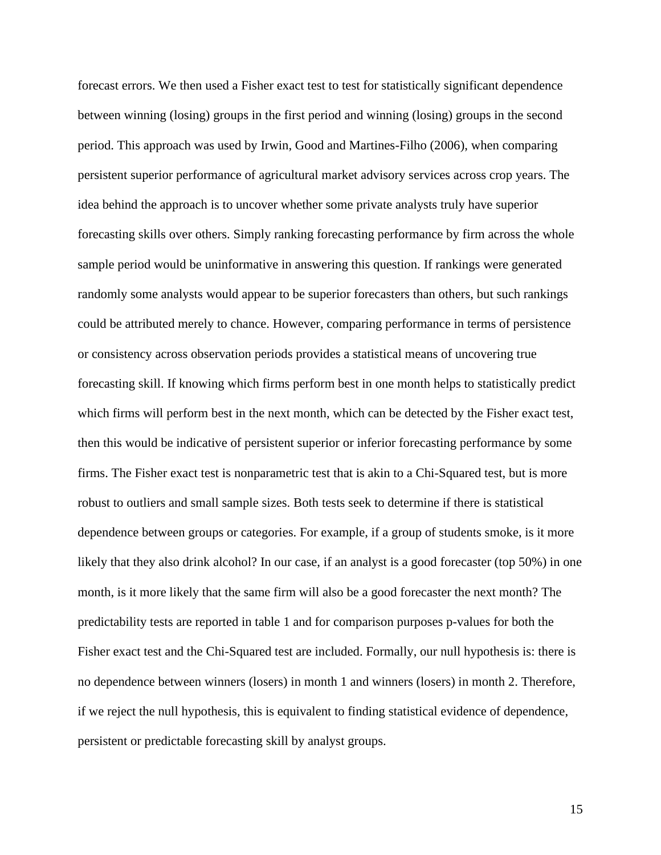forecast errors. We then used a Fisher exact test to test for statistically significant dependence between winning (losing) groups in the first period and winning (losing) groups in the second period. This approach was used by Irwin, Good and Martines-Filho (2006), when comparing persistent superior performance of agricultural market advisory services across crop years. The idea behind the approach is to uncover whether some private analysts truly have superior forecasting skills over others. Simply ranking forecasting performance by firm across the whole sample period would be uninformative in answering this question. If rankings were generated randomly some analysts would appear to be superior forecasters than others, but such rankings could be attributed merely to chance. However, comparing performance in terms of persistence or consistency across observation periods provides a statistical means of uncovering true forecasting skill. If knowing which firms perform best in one month helps to statistically predict which firms will perform best in the next month, which can be detected by the Fisher exact test, then this would be indicative of persistent superior or inferior forecasting performance by some firms. The Fisher exact test is nonparametric test that is akin to a Chi-Squared test, but is more robust to outliers and small sample sizes. Both tests seek to determine if there is statistical dependence between groups or categories. For example, if a group of students smoke, is it more likely that they also drink alcohol? In our case, if an analyst is a good forecaster (top 50%) in one month, is it more likely that the same firm will also be a good forecaster the next month? The predictability tests are reported in table 1 and for comparison purposes p-values for both the Fisher exact test and the Chi-Squared test are included. Formally, our null hypothesis is: there is no dependence between winners (losers) in month 1 and winners (losers) in month 2. Therefore, if we reject the null hypothesis, this is equivalent to finding statistical evidence of dependence, persistent or predictable forecasting skill by analyst groups.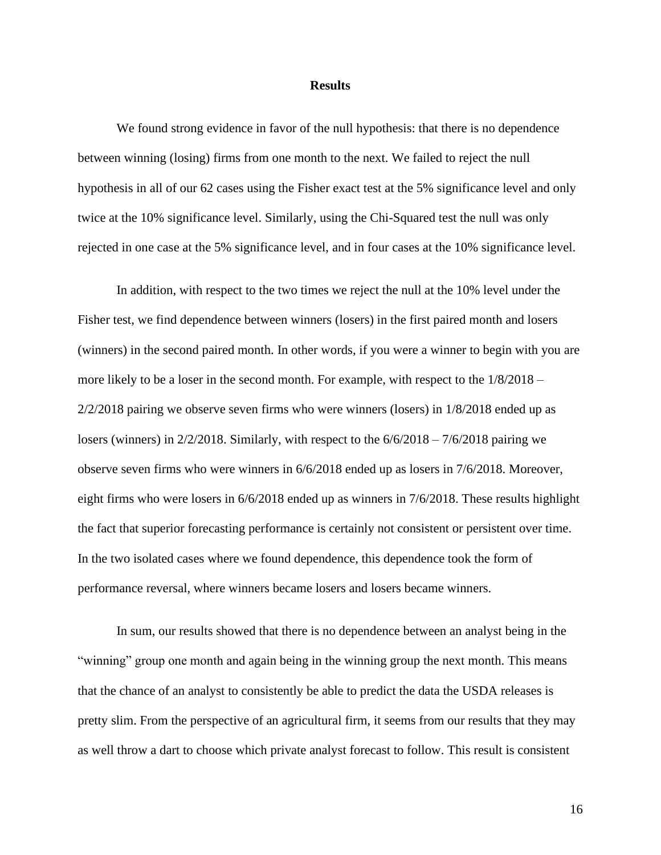#### **Results**

We found strong evidence in favor of the null hypothesis: that there is no dependence between winning (losing) firms from one month to the next. We failed to reject the null hypothesis in all of our 62 cases using the Fisher exact test at the 5% significance level and only twice at the 10% significance level. Similarly, using the Chi-Squared test the null was only rejected in one case at the 5% significance level, and in four cases at the 10% significance level.

In addition, with respect to the two times we reject the null at the 10% level under the Fisher test, we find dependence between winners (losers) in the first paired month and losers (winners) in the second paired month. In other words, if you were a winner to begin with you are more likely to be a loser in the second month. For example, with respect to the 1/8/2018 – 2/2/2018 pairing we observe seven firms who were winners (losers) in 1/8/2018 ended up as losers (winners) in 2/2/2018. Similarly, with respect to the  $6/6/2018 - 7/6/2018$  pairing we observe seven firms who were winners in 6/6/2018 ended up as losers in 7/6/2018. Moreover, eight firms who were losers in 6/6/2018 ended up as winners in 7/6/2018. These results highlight the fact that superior forecasting performance is certainly not consistent or persistent over time. In the two isolated cases where we found dependence, this dependence took the form of performance reversal, where winners became losers and losers became winners.

In sum, our results showed that there is no dependence between an analyst being in the "winning" group one month and again being in the winning group the next month. This means that the chance of an analyst to consistently be able to predict the data the USDA releases is pretty slim. From the perspective of an agricultural firm, it seems from our results that they may as well throw a dart to choose which private analyst forecast to follow. This result is consistent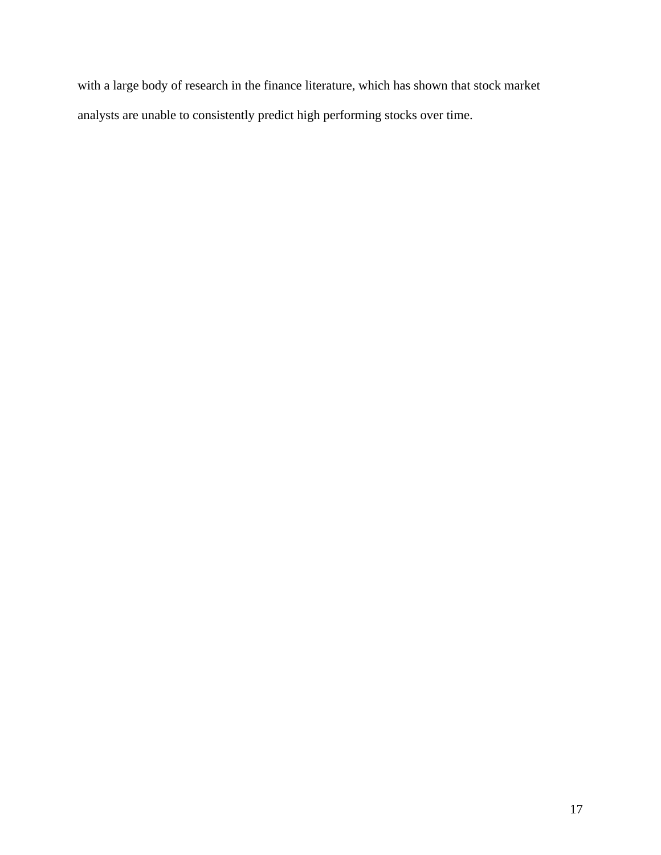with a large body of research in the finance literature, which has shown that stock market analysts are unable to consistently predict high performing stocks over time.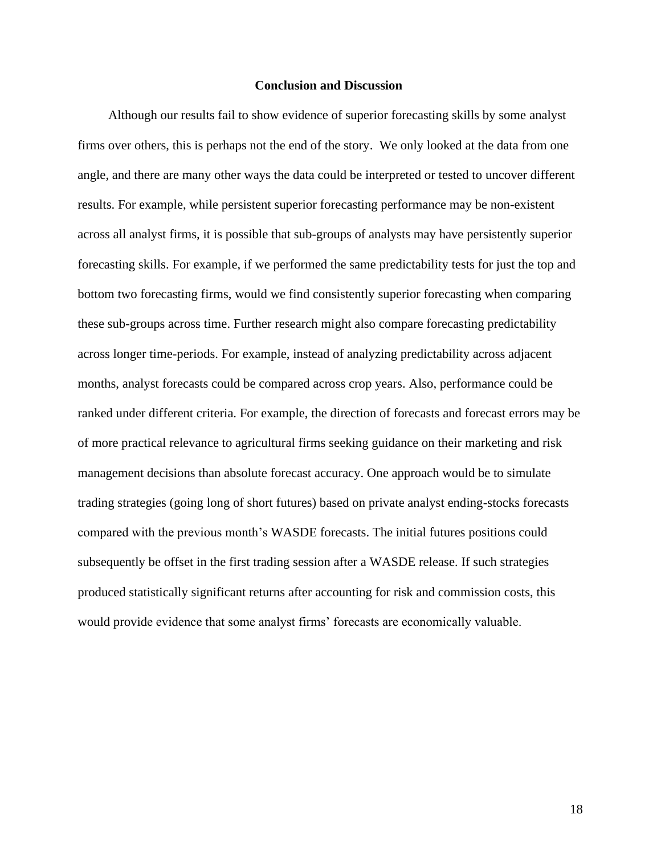#### **Conclusion and Discussion**

Although our results fail to show evidence of superior forecasting skills by some analyst firms over others, this is perhaps not the end of the story. We only looked at the data from one angle, and there are many other ways the data could be interpreted or tested to uncover different results. For example, while persistent superior forecasting performance may be non-existent across all analyst firms, it is possible that sub-groups of analysts may have persistently superior forecasting skills. For example, if we performed the same predictability tests for just the top and bottom two forecasting firms, would we find consistently superior forecasting when comparing these sub-groups across time. Further research might also compare forecasting predictability across longer time-periods. For example, instead of analyzing predictability across adjacent months, analyst forecasts could be compared across crop years. Also, performance could be ranked under different criteria. For example, the direction of forecasts and forecast errors may be of more practical relevance to agricultural firms seeking guidance on their marketing and risk management decisions than absolute forecast accuracy. One approach would be to simulate trading strategies (going long of short futures) based on private analyst ending-stocks forecasts compared with the previous month's WASDE forecasts. The initial futures positions could subsequently be offset in the first trading session after a WASDE release. If such strategies produced statistically significant returns after accounting for risk and commission costs, this would provide evidence that some analyst firms' forecasts are economically valuable.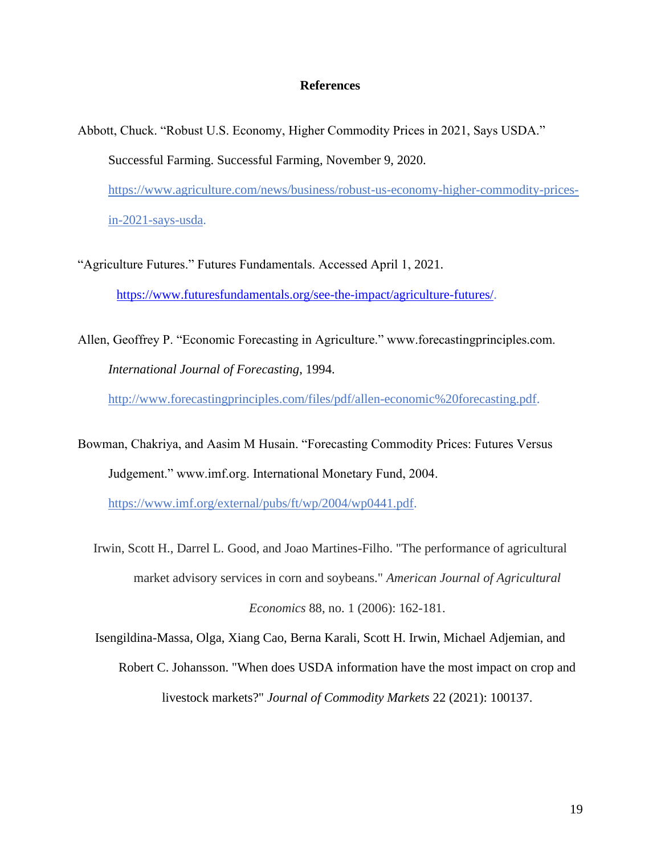#### **References**

- Abbott, Chuck. "Robust U.S. Economy, Higher Commodity Prices in 2021, Says USDA." Successful Farming. Successful Farming, November 9, 2020. [https://www.agriculture.com/news/business/robust-us-economy-higher-commodity-prices](https://www.agriculture.com/news/business/robust-us-economy-higher-commodity-prices-in-2021-says-usda)[in-2021-says-usda.](https://www.agriculture.com/news/business/robust-us-economy-higher-commodity-prices-in-2021-says-usda)
- "Agriculture Futures." Futures Fundamentals. Accessed April 1, 2021. [https://www.futuresfundamentals.org/see-the-impact/agriculture-futures/.](https://www.futuresfundamentals.org/see-the-impact/agriculture-futures/)
- Allen, Geoffrey P. "Economic Forecasting in Agriculture." www.forecastingprinciples.com. *International Journal of Forecasting*, 1994.

[http://www.forecastingprinciples.com/files/pdf/allen-economic%20forecasting.pdf.](http://www.forecastingprinciples.com/files/pdf/allen-economic%20forecasting.pdf)

Bowman, Chakriya, and Aasim M Husain. "Forecasting Commodity Prices: Futures Versus Judgement." www.imf.org. International Monetary Fund, 2004.

[https://www.imf.org/external/pubs/ft/wp/2004/wp0441.pdf.](https://www.imf.org/external/pubs/ft/wp/2004/wp0441.pdf)

Irwin, Scott H., Darrel L. Good, and Joao Martines-Filho. "The performance of agricultural market advisory services in corn and soybeans." *American Journal of Agricultural Economics* 88, no. 1 (2006): 162-181.

Isengildina-Massa, Olga, Xiang Cao, Berna Karali, Scott H. Irwin, Michael Adjemian, and

livestock markets?" *Journal of Commodity Markets* 22 (2021): 100137.

Robert C. Johansson. "When does USDA information have the most impact on crop and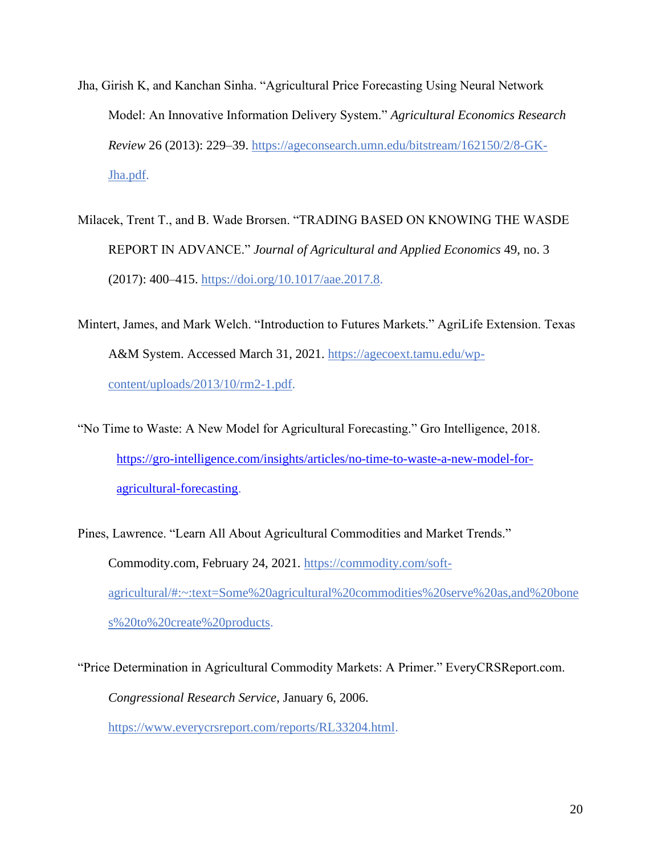- Jha, Girish K, and Kanchan Sinha. "Agricultural Price Forecasting Using Neural Network Model: An Innovative Information Delivery System." *Agricultural Economics Research Review* 26 (2013): 229–39. [https://ageconsearch.umn.edu/bitstream/162150/2/8-GK-](https://ageconsearch.umn.edu/bitstream/162150/2/8-GK-Jha.pdf)[Jha.pdf.](https://ageconsearch.umn.edu/bitstream/162150/2/8-GK-Jha.pdf)
- Milacek, Trent T., and B. Wade Brorsen. "TRADING BASED ON KNOWING THE WASDE REPORT IN ADVANCE." *Journal of Agricultural and Applied Economics* 49, no. 3 (2017): 400–415. [https://doi.org/10.1017/aae.2017.8.](https://doi.org/10.1017/aae.2017.8)
- Mintert, James, and Mark Welch. "Introduction to Futures Markets." AgriLife Extension. Texas A&M System. Accessed March 31, 2021. [https://agecoext.tamu.edu/wp](https://agecoext.tamu.edu/wp-content/uploads/2013/10/rm2-1.pdf)[content/uploads/2013/10/rm2-1.pdf.](https://agecoext.tamu.edu/wp-content/uploads/2013/10/rm2-1.pdf)
- "No Time to Waste: A New Model for Agricultural Forecasting." Gro Intelligence, 2018. [https://gro-intelligence.com/insights/articles/no-time-to-waste-a-new-model-for](https://gro-intelligence.com/insights/articles/no-time-to-waste-a-new-model-for-%09agricultural-forecasting)[agricultural-forecasting.](https://gro-intelligence.com/insights/articles/no-time-to-waste-a-new-model-for-%09agricultural-forecasting)

Pines, Lawrence. "Learn All About Agricultural Commodities and Market Trends." Commodity.com, February 24, 2021. [https://commodity.com/soft](https://commodity.com/soft-agricultural/#:~:text=Some%20agricultural%20commodities%20serve%20as,and%20bones%20to%20create%20products)[agricultural/#:~:text=Some%20agricultural%20commodities%20serve%20as,and%20bone](https://commodity.com/soft-agricultural/#:~:text=Some%20agricultural%20commodities%20serve%20as,and%20bones%20to%20create%20products) [s%20to%20create%20products.](https://commodity.com/soft-agricultural/#:~:text=Some%20agricultural%20commodities%20serve%20as,and%20bones%20to%20create%20products)

"Price Determination in Agricultural Commodity Markets: A Primer." EveryCRSReport.com. *Congressional Research Service*, January 6, 2006. [https://www.everycrsreport.com/reports/RL33204.html.](https://www.everycrsreport.com/reports/RL33204.html)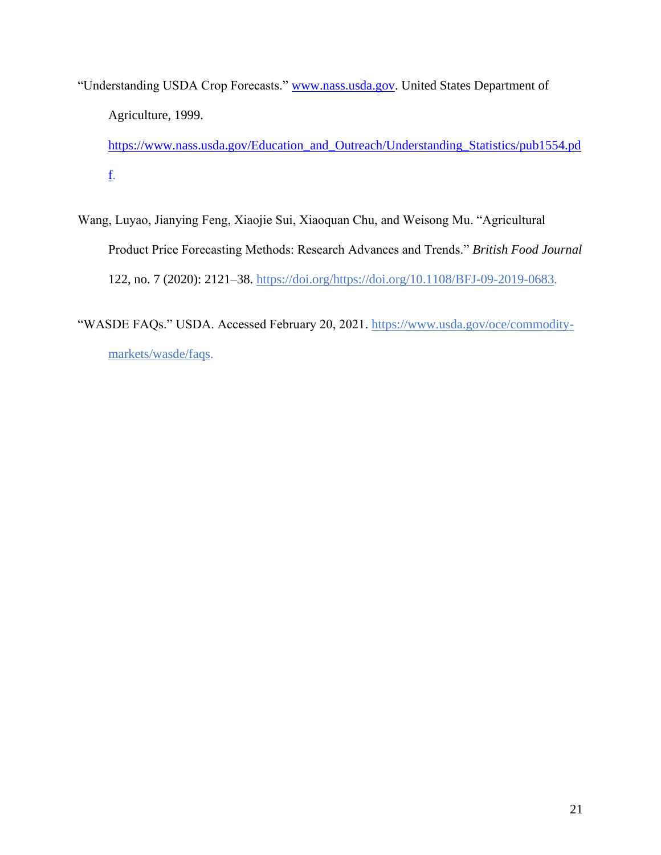"Understanding USDA Crop Forecasts." [www.nass.usda.gov.](http://www.nass.usda.gov/) United States Department of Agriculture, 1999.

[https://www.nass.usda.gov/Education\\_and\\_Outreach/Understanding\\_Statistics/pub1554.pd](https://www.nass.usda.gov/Education_and_Outreach/Understanding_Statistics/pub1554.pdf) [f.](https://www.nass.usda.gov/Education_and_Outreach/Understanding_Statistics/pub1554.pdf)

Wang, Luyao, Jianying Feng, Xiaojie Sui, Xiaoquan Chu, and Weisong Mu. "Agricultural Product Price Forecasting Methods: Research Advances and Trends." *British Food Journal* 122, no. 7 (2020): 2121–38. [https://doi.org/https://doi.org/10.1108/BFJ-09-2019-0683.](https://doi.org/https:/doi.org/10.1108/BFJ-09-2019-0683)

"WASDE FAQs." USDA. Accessed February 20, 2021. [https://www.usda.gov/oce/commodity](https://www.usda.gov/oce/commodity-markets/wasde/faqs)[markets/wasde/faqs.](https://www.usda.gov/oce/commodity-markets/wasde/faqs)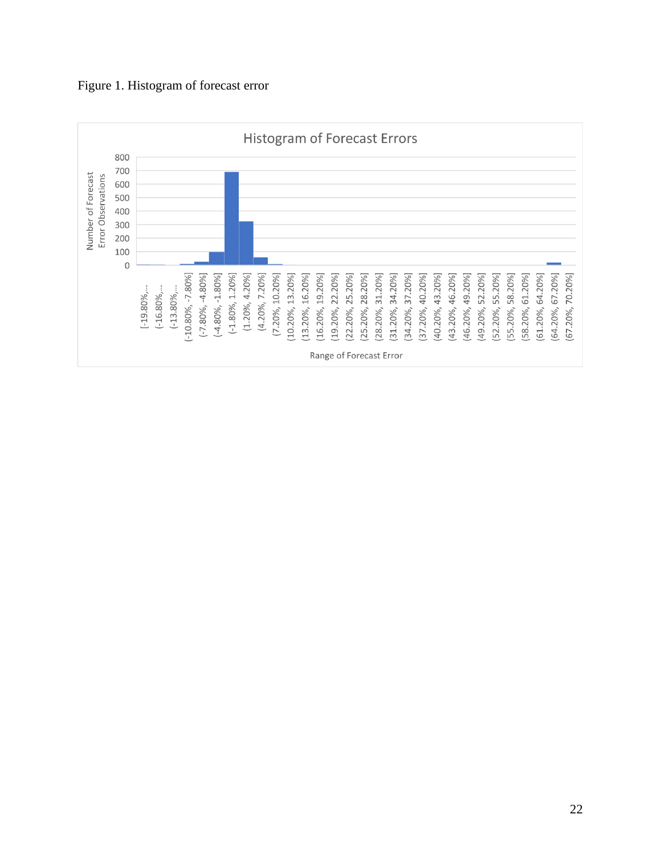

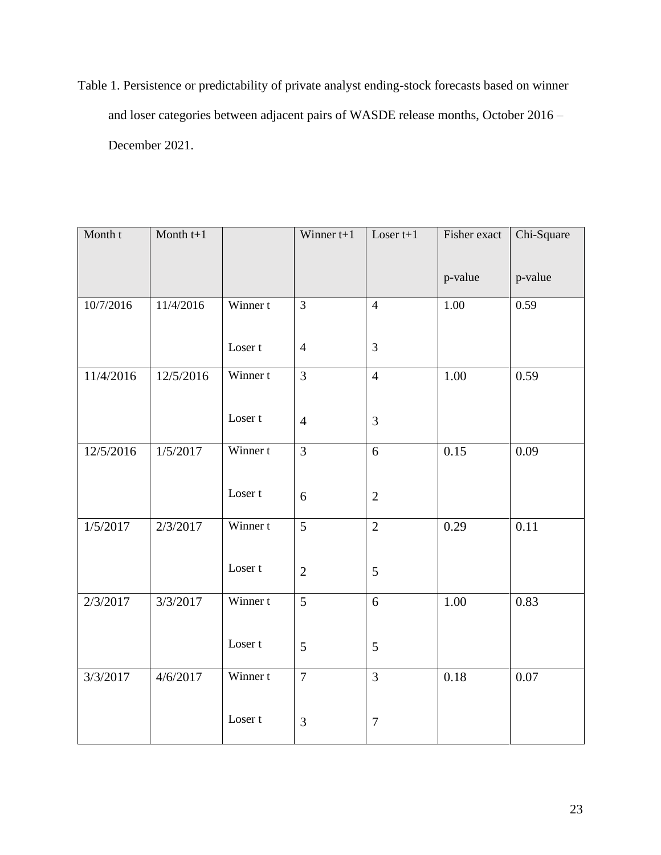Table 1. Persistence or predictability of private analyst ending-stock forecasts based on winner and loser categories between adjacent pairs of WASDE release months, October 2016 – December 2021.

| Month t   | Month $t+1$ |                    | Winner $t+1$   | Loser $t+1$    | Fisher exact | Chi-Square |
|-----------|-------------|--------------------|----------------|----------------|--------------|------------|
|           |             |                    |                |                | p-value      | p-value    |
| 10/7/2016 | 11/4/2016   | Winner t           | $\overline{3}$ | $\overline{4}$ | 1.00         | 0.59       |
|           |             | Loser <sub>t</sub> | $\overline{4}$ | $\overline{3}$ |              |            |
| 11/4/2016 | 12/5/2016   | Winner t           | $\overline{3}$ | $\overline{4}$ | 1.00         | 0.59       |
|           |             | Loser <sub>t</sub> | $\overline{4}$ | $\overline{3}$ |              |            |
| 12/5/2016 | 1/5/2017    | Winner t           | $\overline{3}$ | 6              | 0.15         | 0.09       |
|           |             | Loser t            | 6              | $\sqrt{2}$     |              |            |
| 1/5/2017  | 2/3/2017    | Winner t           | $\overline{5}$ | $\overline{2}$ | 0.29         | 0.11       |
|           |             | Loser <sub>t</sub> | $\overline{2}$ | 5              |              |            |
| 2/3/2017  | 3/3/2017    | Winner t           | $\overline{5}$ | 6              | 1.00         | 0.83       |
|           |             | Loser <sub>t</sub> | 5              | $\mathfrak{S}$ |              |            |
| 3/3/2017  | 4/6/2017    | Winner t           | $\overline{7}$ | $\overline{3}$ | 0.18         | 0.07       |
|           |             | Loser <sub>t</sub> | 3              | $\tau$         |              |            |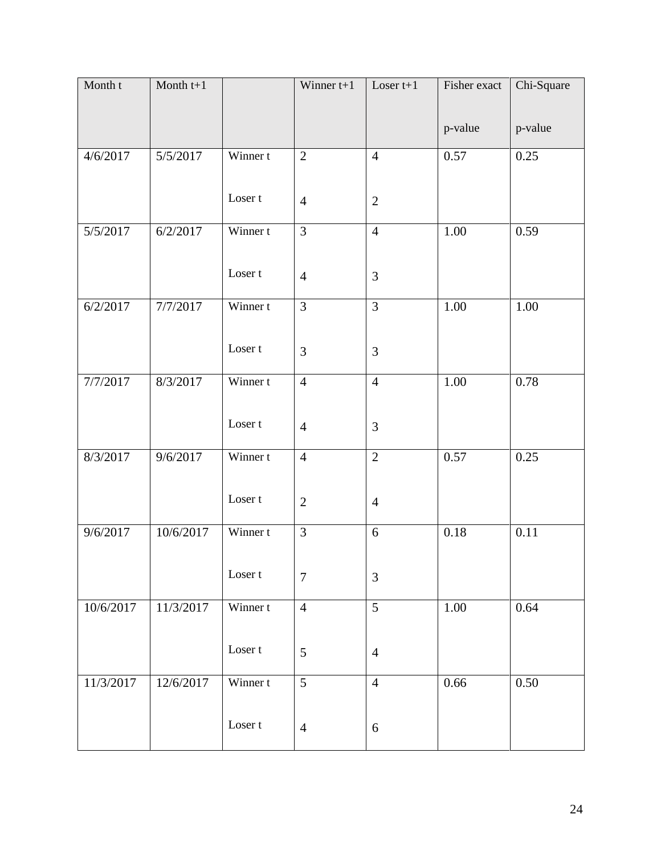| Month t   | Month $t+1$ |                    | Winner $t+1$   | Loser $t+1$    | Fisher exact | Chi-Square |
|-----------|-------------|--------------------|----------------|----------------|--------------|------------|
|           |             |                    |                |                | p-value      | p-value    |
| 4/6/2017  | 5/5/2017    | Winner t           | $\overline{2}$ | $\overline{4}$ | 0.57         | 0.25       |
|           |             | Loser t            | $\overline{4}$ | $\sqrt{2}$     |              |            |
| 5/5/2017  | 6/2/2017    | Winner t           | $\overline{3}$ | $\overline{4}$ | 1.00         | 0.59       |
|           |             | Loser t            | $\overline{4}$ | 3              |              |            |
| 6/2/2017  | 7/7/2017    | Winner t           | 3              | $\overline{3}$ | 1.00         | 1.00       |
|           |             | Loser <sub>t</sub> | 3              | 3              |              |            |
| 7/7/2017  | 8/3/2017    | Winner t           | $\overline{4}$ | $\overline{4}$ | 1.00         | 0.78       |
|           |             | Loser t            | $\overline{4}$ | 3              |              |            |
| 8/3/2017  | 9/6/2017    | Winner t           | $\overline{4}$ | $\overline{2}$ | 0.57         | 0.25       |
|           |             | Loser t            | $\sqrt{2}$     | $\overline{4}$ |              |            |
| 9/6/2017  | 10/6/2017   | Winner t           | 3              | 6              | 0.18         | 0.11       |
|           |             | Loser t            | $\tau$         | 3              |              |            |
| 10/6/2017 | 11/3/2017   | Winner t           | $\overline{4}$ | $\overline{5}$ | 1.00         | 0.64       |
|           |             | Loser t            | 5              | $\overline{4}$ |              |            |
| 11/3/2017 | 12/6/2017   | Winner t           | 5              | $\overline{4}$ | 0.66         | 0.50       |
|           |             | Loser t            | $\overline{4}$ | 6              |              |            |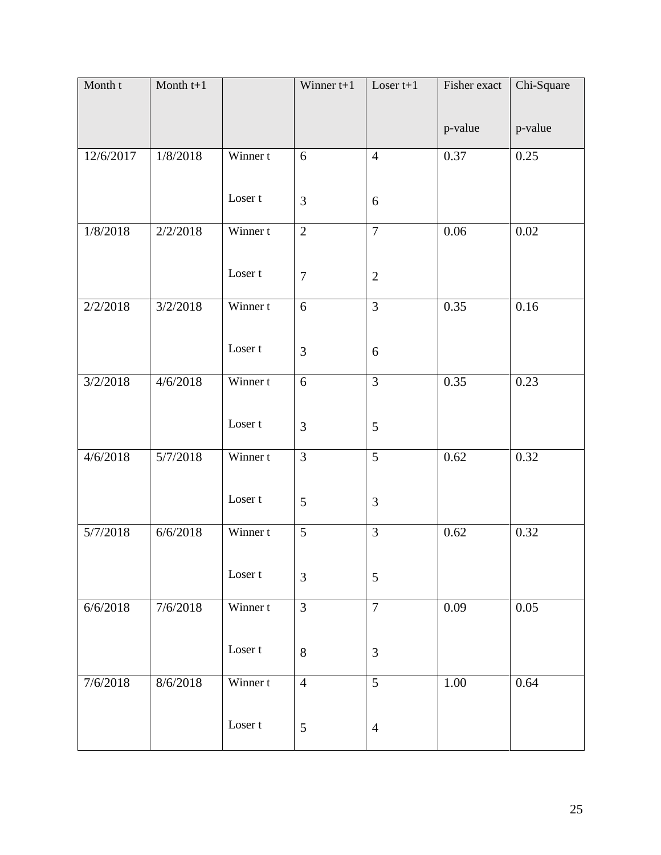| Month t   | Month $t+1$ |                    | Winner $t+1$   | Loser $t+1$    | Fisher exact | Chi-Square |
|-----------|-------------|--------------------|----------------|----------------|--------------|------------|
|           |             |                    |                |                | p-value      | p-value    |
| 12/6/2017 | 1/8/2018    | Winner t           | 6              | $\overline{4}$ | 0.37         | 0.25       |
|           |             | Loser t            | 3              | 6              |              |            |
| 1/8/2018  | 2/2/2018    | Winner t           | $\overline{2}$ | $\overline{7}$ | 0.06         | 0.02       |
|           |             | Loser t            | $\overline{7}$ | $\overline{2}$ |              |            |
| 2/2/2018  | 3/2/2018    | Winner t           | 6              | $\overline{3}$ | 0.35         | 0.16       |
|           |             | Loser <sub>t</sub> | 3              | 6              |              |            |
| 3/2/2018  | 4/6/2018    | Winner t           | 6              | $\overline{3}$ | 0.35         | 0.23       |
|           |             | Loser <sub>t</sub> | 3              | 5              |              |            |
| 4/6/2018  | 5/7/2018    | Winner t           | 3              | 5              | 0.62         | 0.32       |
|           |             | Loser <sub>t</sub> | 5              | 3              |              |            |
| 5/7/2018  | 6/6/2018    | Winner t           | 5              | 3              | 0.62         | 0.32       |
|           |             | Loser t            | $\mathfrak{Z}$ | 5              |              |            |
| 6/6/2018  | 7/6/2018    | Winner t           | $\overline{3}$ | $\overline{7}$ | 0.09         | 0.05       |
|           |             | Loser t            | $8\,$          | $\mathfrak{Z}$ |              |            |
| 7/6/2018  | 8/6/2018    | Winner t           | $\overline{4}$ | 5              | 1.00         | 0.64       |
|           |             | Loser t            | 5              | $\overline{4}$ |              |            |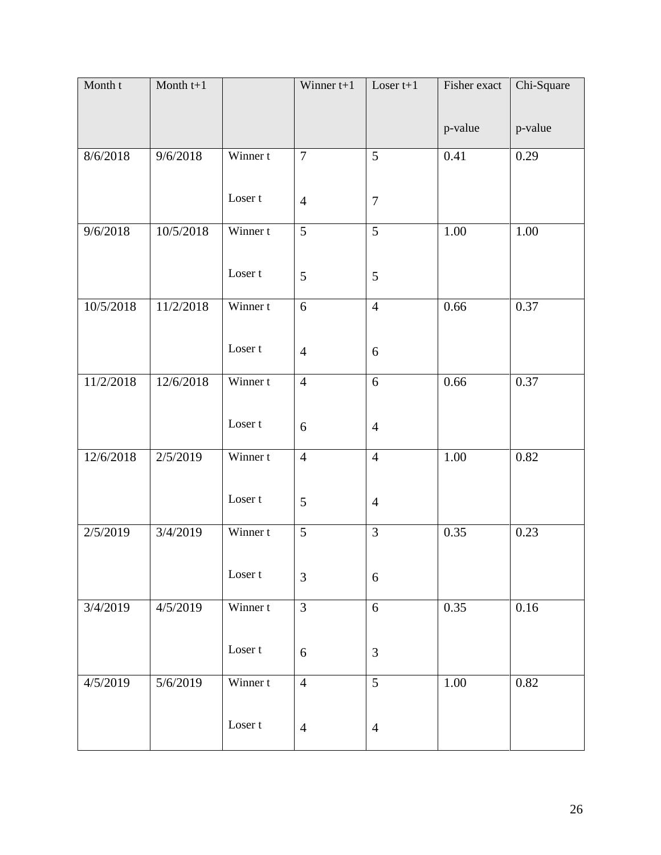| Month t   | Month $t+1$ |          | Winner $t+1$   | Loser $t+1$    | Fisher exact | Chi-Square |
|-----------|-------------|----------|----------------|----------------|--------------|------------|
|           |             |          |                |                | p-value      | p-value    |
|           |             |          |                |                |              |            |
| 8/6/2018  | 9/6/2018    | Winner t | $\overline{7}$ | 5              | 0.41         | 0.29       |
|           |             |          |                |                |              |            |
|           |             | Loser t  | $\overline{4}$ | $\overline{7}$ |              |            |
| 9/6/2018  | 10/5/2018   | Winner t | 5              | $\overline{5}$ | 1.00         | 1.00       |
|           |             |          |                |                |              |            |
|           |             | Loser t  | 5              | 5              |              |            |
|           |             |          |                |                |              |            |
| 10/5/2018 | 11/2/2018   | Winner t | 6              | $\overline{4}$ | 0.66         | 0.37       |
|           |             |          |                |                |              |            |
|           |             | Loser t  | $\overline{4}$ | 6              |              |            |
|           |             |          |                |                |              |            |
| 11/2/2018 | 12/6/2018   | Winner t | $\overline{4}$ | $\overline{6}$ | 0.66         | 0.37       |
|           |             |          |                |                |              |            |
|           |             | Loser t  | 6              | $\overline{4}$ |              |            |
|           |             |          |                |                |              |            |
| 12/6/2018 | 2/5/2019    | Winner t | $\overline{4}$ | $\overline{4}$ | 1.00         | 0.82       |
|           |             |          |                |                |              |            |
|           |             | Loser t  | $\mathfrak{S}$ | $\overline{4}$ |              |            |
|           |             |          |                |                |              |            |
| 2/5/2019  | 3/4/2019    | Winner t | 5              | 3              | 0.35         | 0.23       |
|           |             |          |                |                |              |            |
|           |             | Loser t  | 3              | 6              |              |            |
|           |             |          |                |                |              |            |
| 3/4/2019  | 4/5/2019    | Winner t | $\overline{3}$ | $6\,$          | 0.35         | 0.16       |
|           |             |          |                |                |              |            |
|           |             | Loser t  | 6              | 3              |              |            |
|           |             |          |                |                |              |            |
| 4/5/2019  | 5/6/2019    | Winner t | $\overline{4}$ | 5              | 1.00         | 0.82       |
|           |             |          |                |                |              |            |
|           |             | Loser t  | $\overline{4}$ | $\overline{4}$ |              |            |
|           |             |          |                |                |              |            |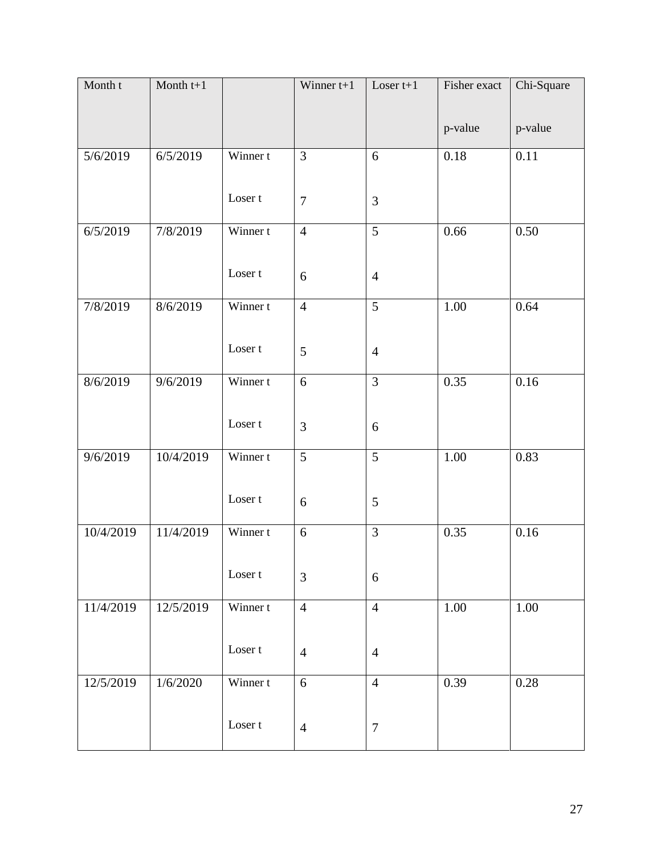| Month t   | Month $t+1$ |                    | Winner $t+1$   | Loser $t+1$    | Fisher exact | Chi-Square |
|-----------|-------------|--------------------|----------------|----------------|--------------|------------|
|           |             |                    |                |                | p-value      | p-value    |
| 5/6/2019  | 6/5/2019    | Winner t           | 3              | 6              | 0.18         | 0.11       |
|           |             | Loser t            | $\overline{7}$ | $\mathfrak{Z}$ |              |            |
| 6/5/2019  | 7/8/2019    | Winner t           | $\overline{4}$ | $\overline{5}$ | 0.66         | 0.50       |
|           |             | Loser t            | 6              | $\overline{4}$ |              |            |
| 7/8/2019  | 8/6/2019    | Winner t           | $\overline{4}$ | $\overline{5}$ | 1.00         | 0.64       |
|           |             | Loser <sub>t</sub> | $\overline{5}$ | $\overline{4}$ |              |            |
| 8/6/2019  | 9/6/2019    | Winner t           | 6              | $\overline{3}$ | 0.35         | 0.16       |
|           |             | Loser <sub>t</sub> | 3              | 6              |              |            |
| 9/6/2019  | 10/4/2019   | Winner t           | 5              | 5              | 1.00         | 0.83       |
|           |             | Loser t            | 6              | 5              |              |            |
| 10/4/2019 | 11/4/2019   | Winner t           | 6              | 3              | 0.35         | 0.16       |
|           |             | Loser t            | $\mathfrak{Z}$ | 6              |              |            |
| 11/4/2019 | 12/5/2019   | Winner t           | $\overline{4}$ | $\overline{4}$ | $1.00\,$     | $1.00\,$   |
|           |             | Loser t            | $\overline{4}$ | $\overline{4}$ |              |            |
| 12/5/2019 | 1/6/2020    | Winner t           | 6              | $\overline{4}$ | 0.39         | 0.28       |
|           |             | Loser t            | $\overline{4}$ | $\tau$         |              |            |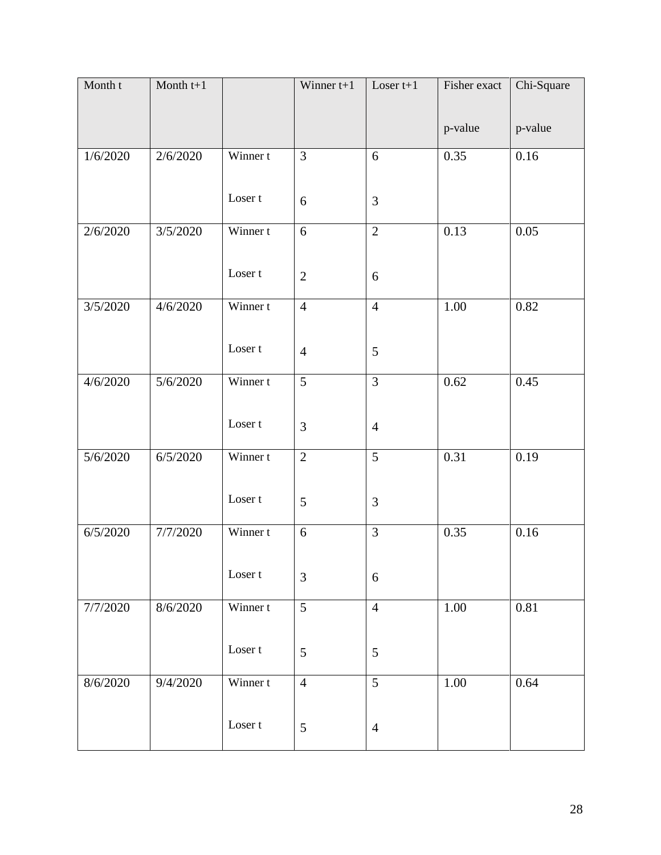| Month t  | Month $t+1$ |                    | Winner $t+1$   | Loser $t+1$    | Fisher exact | Chi-Square |
|----------|-------------|--------------------|----------------|----------------|--------------|------------|
|          |             |                    |                |                | p-value      | p-value    |
|          |             |                    |                |                |              |            |
| 1/6/2020 | 2/6/2020    | Winner t           | 3              | 6              | 0.35         | 0.16       |
|          |             |                    |                |                |              |            |
|          |             | Loser t            | 6              | 3              |              |            |
| 2/6/2020 | 3/5/2020    | Winner t           | 6              | $\overline{2}$ | 0.13         | 0.05       |
|          |             |                    |                |                |              |            |
|          |             | Loser t            |                |                |              |            |
|          |             |                    | $\sqrt{2}$     | 6              |              |            |
| 3/5/2020 | 4/6/2020    | Winner t           | $\overline{4}$ | $\overline{4}$ | 1.00         | 0.82       |
|          |             |                    |                |                |              |            |
|          |             | Loser t            | $\overline{4}$ | 5              |              |            |
|          |             |                    |                |                |              |            |
| 4/6/2020 | 5/6/2020    | Winner t           | $\overline{5}$ | $\overline{3}$ | 0.62         | 0.45       |
|          |             |                    |                |                |              |            |
|          |             | Loser <sub>t</sub> | 3              | $\overline{4}$ |              |            |
|          |             |                    |                |                |              |            |
| 5/6/2020 | 6/5/2020    | Winner t           | $\overline{2}$ | 5              | 0.31         | 0.19       |
|          |             |                    |                |                |              |            |
|          |             | Loser t            | $\mathfrak{S}$ | 3              |              |            |
|          |             |                    |                |                |              |            |
| 6/5/2020 | 7/7/2020    | Winner t           | 6              | 3              | 0.35         | 0.16       |
|          |             |                    |                |                |              |            |
|          |             | Loser t            | 3              | 6              |              |            |
|          |             |                    |                |                |              |            |
| 7/7/2020 | 8/6/2020    | Winner t           | 5              | $\overline{4}$ | 1.00         | $0.81\,$   |
|          |             |                    |                |                |              |            |
|          |             | Loser t            | 5              | 5              |              |            |
|          |             |                    |                |                |              |            |
| 8/6/2020 | 9/4/2020    | Winner t           | $\overline{4}$ | 5              | 1.00         | 0.64       |
|          |             |                    |                |                |              |            |
|          |             | Loser t            | $\mathfrak{S}$ | $\overline{4}$ |              |            |
|          |             |                    |                |                |              |            |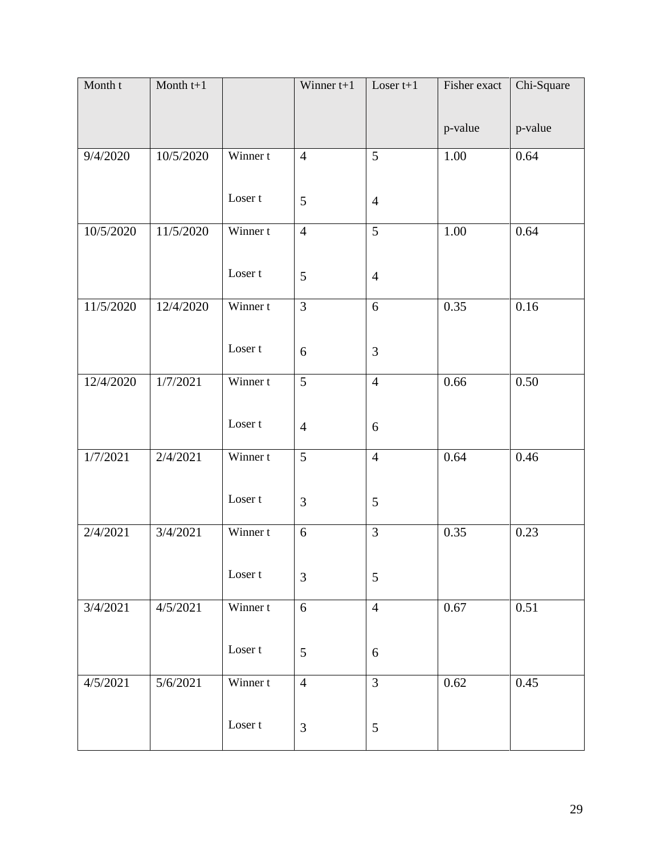| Month t   | Month $t+1$ |                    | Winner $t+1$   | Loser $t+1$    | Fisher exact | Chi-Square |
|-----------|-------------|--------------------|----------------|----------------|--------------|------------|
|           |             |                    |                |                | p-value      | p-value    |
|           |             |                    |                |                |              |            |
| 9/4/2020  | 10/5/2020   | Winner t           | $\overline{4}$ | 5              | 1.00         | 0.64       |
|           |             |                    |                |                |              |            |
|           |             | Loser t            | 5              | $\overline{4}$ |              |            |
| 10/5/2020 | 11/5/2020   | Winner t           | $\overline{4}$ | $\overline{5}$ | 1.00         | 0.64       |
|           |             |                    |                |                |              |            |
|           |             | Loser t            | 5              |                |              |            |
|           |             |                    |                | $\overline{4}$ |              |            |
| 11/5/2020 | 12/4/2020   | Winner t           | 3              | 6              | 0.35         | 0.16       |
|           |             |                    |                |                |              |            |
|           |             | Loser t            | 6              | 3              |              |            |
|           |             |                    |                |                |              |            |
| 12/4/2020 | 1/7/2021    | Winner t           | $\overline{5}$ | $\overline{4}$ | 0.66         | 0.50       |
|           |             |                    |                |                |              |            |
|           |             | Loser <sub>t</sub> | $\overline{4}$ | 6              |              |            |
|           |             |                    |                |                |              |            |
| 1/7/2021  | 2/4/2021    | Winner t           | 5              | $\overline{4}$ | 0.64         | 0.46       |
|           |             |                    |                |                |              |            |
|           |             | Loser t            | 3              | 5              |              |            |
|           |             |                    |                |                |              |            |
| 2/4/2021  | 3/4/2021    | Winner t           | 6              | 3              | 0.35         | 0.23       |
|           |             |                    |                |                |              |            |
|           |             | Loser t            | 3              | 5              |              |            |
|           |             |                    |                |                |              |            |
| 3/4/2021  | 4/5/2021    | Winner t           | 6              | $\overline{4}$ | 0.67         | 0.51       |
|           |             |                    |                |                |              |            |
|           |             | Loser t            | $\mathfrak{S}$ | 6              |              |            |
|           |             |                    |                |                |              |            |
| 4/5/2021  | 5/6/2021    | Winner t           | $\overline{4}$ | $\overline{3}$ | 0.62         | 0.45       |
|           |             |                    |                |                |              |            |
|           |             | Loser t            | $\mathfrak{Z}$ | $\mathfrak s$  |              |            |
|           |             |                    |                |                |              |            |